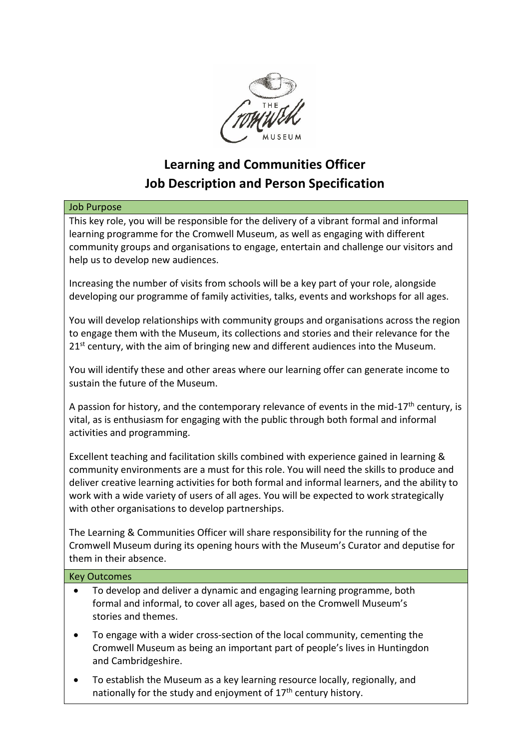

# **Learning and Communities Officer Job Description and Person Specification**

#### Job Purpose

This key role, you will be responsible for the delivery of a vibrant formal and informal learning programme for the Cromwell Museum, as well as engaging with different community groups and organisations to engage, entertain and challenge our visitors and help us to develop new audiences.

Increasing the number of visits from schools will be a key part of your role, alongside developing our programme of family activities, talks, events and workshops for all ages.

You will develop relationships with community groups and organisations across the region to engage them with the Museum, its collections and stories and their relevance for the  $21<sup>st</sup>$  century, with the aim of bringing new and different audiences into the Museum.

You will identify these and other areas where our learning offer can generate income to sustain the future of the Museum.

A passion for history, and the contemporary relevance of events in the mid-17<sup>th</sup> century, is vital, as is enthusiasm for engaging with the public through both formal and informal activities and programming.

Excellent teaching and facilitation skills combined with experience gained in learning & community environments are a must for this role. You will need the skills to produce and deliver creative learning activities for both formal and informal learners, and the ability to work with a wide variety of users of all ages. You will be expected to work strategically with other organisations to develop partnerships.

The Learning & Communities Officer will share responsibility for the running of the Cromwell Museum during its opening hours with the Museum's Curator and deputise for them in their absence.

#### Key Outcomes

- To develop and deliver a dynamic and engaging learning programme, both formal and informal, to cover all ages, based on the Cromwell Museum's stories and themes.
- To engage with a wider cross-section of the local community, cementing the Cromwell Museum as being an important part of people's lives in Huntingdon and Cambridgeshire.
- To establish the Museum as a key learning resource locally, regionally, and nationally for the study and enjoyment of  $17<sup>th</sup>$  century history.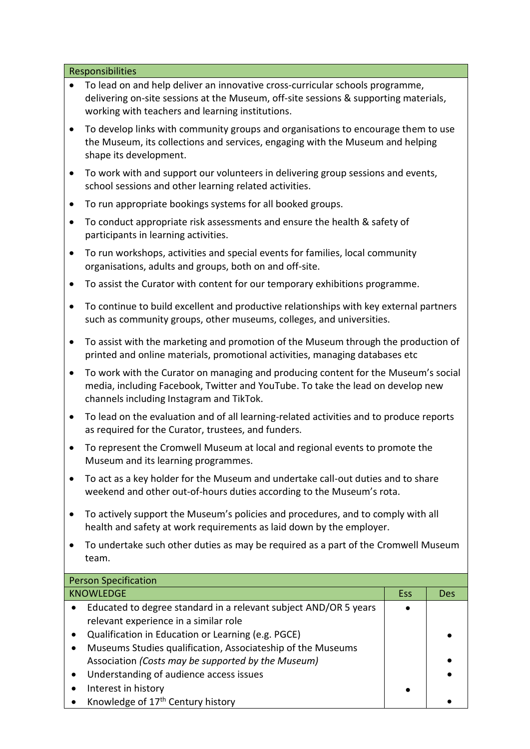#### Responsibilities

- To lead on and help deliver an innovative cross-curricular schools programme, delivering on-site sessions at the Museum, off-site sessions & supporting materials, working with teachers and learning institutions.
- To develop links with community groups and organisations to encourage them to use the Museum, its collections and services, engaging with the Museum and helping shape its development.
- To work with and support our volunteers in delivering group sessions and events, school sessions and other learning related activities.
- To run appropriate bookings systems for all booked groups.
- To conduct appropriate risk assessments and ensure the health & safety of participants in learning activities.
- To run workshops, activities and special events for families, local community organisations, adults and groups, both on and off-site.
- To assist the Curator with content for our temporary exhibitions programme.
- To continue to build excellent and productive relationships with key external partners such as community groups, other museums, colleges, and universities.
- To assist with the marketing and promotion of the Museum through the production of printed and online materials, promotional activities, managing databases etc
- To work with the Curator on managing and producing content for the Museum's social media, including Facebook, Twitter and YouTube. To take the lead on develop new channels including Instagram and TikTok.
- To lead on the evaluation and of all learning-related activities and to produce reports as required for the Curator, trustees, and funders.
- To represent the Cromwell Museum at local and regional events to promote the Museum and its learning programmes.
- To act as a key holder for the Museum and undertake call-out duties and to share weekend and other out-of-hours duties according to the Museum's rota.
- To actively support the Museum's policies and procedures, and to comply with all health and safety at work requirements as laid down by the employer.
- To undertake such other duties as may be required as a part of the Cromwell Museum team.

| <b>Person Specification</b>                                      |  |            |
|------------------------------------------------------------------|--|------------|
| <b>KNOWLEDGE</b>                                                 |  | <b>Des</b> |
| Educated to degree standard in a relevant subject AND/OR 5 years |  |            |
| relevant experience in a similar role                            |  |            |
| Qualification in Education or Learning (e.g. PGCE)               |  |            |
| Museums Studies qualification, Associateship of the Museums      |  |            |
| Association (Costs may be supported by the Museum)               |  |            |
| Understanding of audience access issues                          |  |            |
| Interest in history                                              |  |            |
| Knowledge of 17 <sup>th</sup> Century history                    |  |            |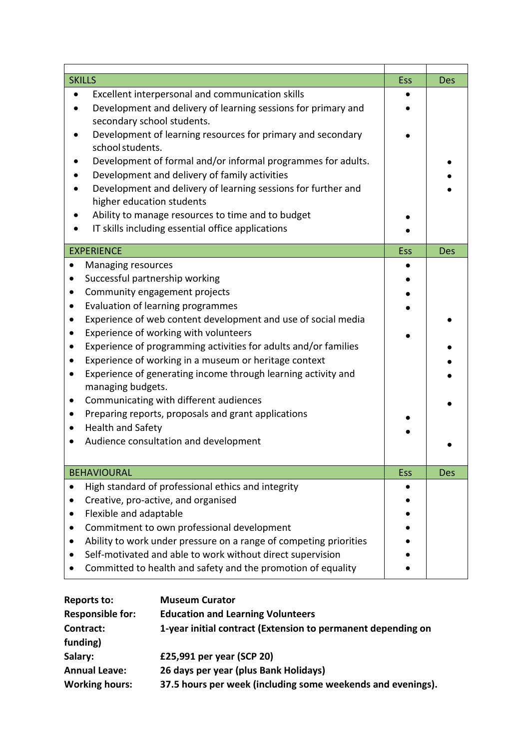| <b>SKILLS</b>                                                                                                                                                                                                                                                                                                                                                                                                                                                                                                                                                                                                                                                                                              | Ess        | <b>Des</b> |
|------------------------------------------------------------------------------------------------------------------------------------------------------------------------------------------------------------------------------------------------------------------------------------------------------------------------------------------------------------------------------------------------------------------------------------------------------------------------------------------------------------------------------------------------------------------------------------------------------------------------------------------------------------------------------------------------------------|------------|------------|
| Excellent interpersonal and communication skills<br>Development and delivery of learning sessions for primary and<br>secondary school students.<br>Development of learning resources for primary and secondary<br>school students.<br>Development of formal and/or informal programmes for adults.<br>Development and delivery of family activities<br>Development and delivery of learning sessions for further and<br>higher education students<br>Ability to manage resources to time and to budget<br>IT skills including essential office applications                                                                                                                                                |            |            |
| <b>EXPERIENCE</b>                                                                                                                                                                                                                                                                                                                                                                                                                                                                                                                                                                                                                                                                                          | <b>Ess</b> | <b>Des</b> |
| Managing resources<br>$\bullet$<br>Successful partnership working<br>Community engagement projects<br>$\bullet$<br>Evaluation of learning programmes<br>$\bullet$<br>Experience of web content development and use of social media<br>$\bullet$<br>Experience of working with volunteers<br>$\bullet$<br>Experience of programming activities for adults and/or families<br>Experience of working in a museum or heritage context<br>Experience of generating income through learning activity and<br>$\bullet$<br>managing budgets.<br>Communicating with different audiences<br>Preparing reports, proposals and grant applications<br><b>Health and Safety</b><br>Audience consultation and development |            |            |
| <b>BEHAVIOURAL</b>                                                                                                                                                                                                                                                                                                                                                                                                                                                                                                                                                                                                                                                                                         | Ess        | <b>Des</b> |
| High standard of professional ethics and integrity<br>Creative, pro-active, and organised<br>Flexible and adaptable<br>Commitment to own professional development<br>Ability to work under pressure on a range of competing priorities<br>Self-motivated and able to work without direct supervision<br>Committed to health and safety and the promotion of equality                                                                                                                                                                                                                                                                                                                                       |            |            |

| <b>Reports to:</b>      | <b>Museum Curator</b>                                        |
|-------------------------|--------------------------------------------------------------|
| <b>Responsible for:</b> | <b>Education and Learning Volunteers</b>                     |
| Contract:               | 1-year initial contract (Extension to permanent depending on |
| funding)                |                                                              |
| Salary:                 | £25,991 per year (SCP 20)                                    |
| <b>Annual Leave:</b>    | 26 days per year (plus Bank Holidays)                        |
| <b>Working hours:</b>   | 37.5 hours per week (including some weekends and evenings).  |